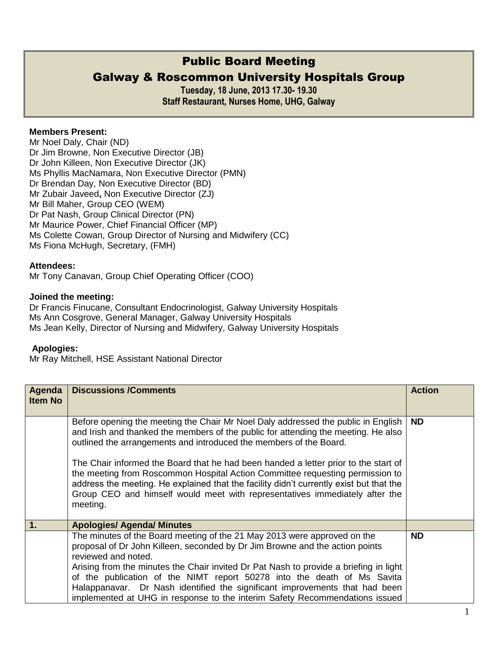# Public Board Meeting

## Galway & Roscommon University Hospitals Group

**Tuesday, 18 June, 2013 17.30- 19.30 Staff Restaurant, Nurses Home, UHG, Galway** 

### **Members Present:**

Mr Noel Daly, Chair (ND) Dr Jim Browne, Non Executive Director (JB) Dr John Killeen, Non Executive Director (JK) Ms Phyllis MacNamara, Non Executive Director (PMN) Dr Brendan Day, Non Executive Director (BD) Mr Zubair Javeed**,** Non Executive Director (ZJ) Mr Bill Maher, Group CEO (WEM) Dr Pat Nash, Group Clinical Director (PN) Mr Maurice Power, Chief Financial Officer (MP) Ms Colette Cowan, Group Director of Nursing and Midwifery (CC) Ms Fiona McHugh, Secretary, (FMH)

#### **Attendees:**

Mr Tony Canavan, Group Chief Operating Officer (COO)

#### **Joined the meeting:**

Dr Francis Finucane, Consultant Endocrinologist, Galway University Hospitals Ms Ann Cosgrove, General Manager, Galway University Hospitals Ms Jean Kelly, Director of Nursing and Midwifery, Galway University Hospitals

#### **Apologies:**

Mr Ray Mitchell, HSE Assistant National Director

| Agenda<br><b>Item No</b> | <b>Discussions /Comments</b>                                                                                                                                                                                                                                                                                                                                                                                                                                                                                      | <b>Action</b> |
|--------------------------|-------------------------------------------------------------------------------------------------------------------------------------------------------------------------------------------------------------------------------------------------------------------------------------------------------------------------------------------------------------------------------------------------------------------------------------------------------------------------------------------------------------------|---------------|
|                          | Before opening the meeting the Chair Mr Noel Daly addressed the public in English<br>and Irish and thanked the members of the public for attending the meeting. He also<br>outlined the arrangements and introduced the members of the Board.                                                                                                                                                                                                                                                                     | <b>ND</b>     |
|                          | The Chair informed the Board that he had been handed a letter prior to the start of<br>the meeting from Roscommon Hospital Action Committee requesting permission to<br>address the meeting. He explained that the facility didn't currently exist but that the<br>Group CEO and himself would meet with representatives immediately after the<br>meeting.                                                                                                                                                        |               |
| 1.                       | <b>Apologies/ Agenda/ Minutes</b>                                                                                                                                                                                                                                                                                                                                                                                                                                                                                 |               |
|                          | The minutes of the Board meeting of the 21 May 2013 were approved on the<br>proposal of Dr John Killeen, seconded by Dr Jim Browne and the action points<br>reviewed and noted.<br>Arising from the minutes the Chair invited Dr Pat Nash to provide a briefing in light<br>of the publication of the NIMT report 50278 into the death of Ms Savita<br>Halappanavar. Dr Nash identified the significant improvements that had been<br>implemented at UHG in response to the interim Safety Recommendations issued | <b>ND</b>     |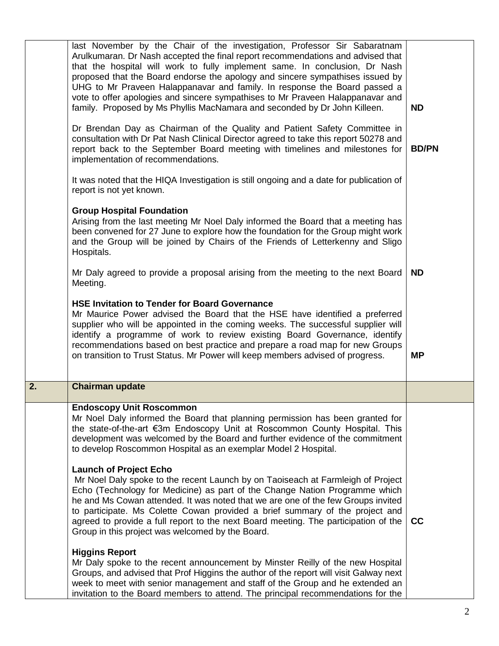|    | last November by the Chair of the investigation, Professor Sir Sabaratnam<br>Arulkumaran. Dr Nash accepted the final report recommendations and advised that<br>that the hospital will work to fully implement same. In conclusion, Dr Nash<br>proposed that the Board endorse the apology and sincere sympathises issued by<br>UHG to Mr Praveen Halappanavar and family. In response the Board passed a<br>vote to offer apologies and sincere sympathises to Mr Praveen Halappanavar and<br>family. Proposed by Ms Phyllis MacNamara and seconded by Dr John Killeen.                                                                | <b>ND</b>    |
|----|-----------------------------------------------------------------------------------------------------------------------------------------------------------------------------------------------------------------------------------------------------------------------------------------------------------------------------------------------------------------------------------------------------------------------------------------------------------------------------------------------------------------------------------------------------------------------------------------------------------------------------------------|--------------|
|    | Dr Brendan Day as Chairman of the Quality and Patient Safety Committee in<br>consultation with Dr Pat Nash Clinical Director agreed to take this report 50278 and<br>report back to the September Board meeting with timelines and milestones for<br>implementation of recommendations.                                                                                                                                                                                                                                                                                                                                                 | <b>BD/PN</b> |
|    | It was noted that the HIQA Investigation is still ongoing and a date for publication of<br>report is not yet known.                                                                                                                                                                                                                                                                                                                                                                                                                                                                                                                     |              |
|    | <b>Group Hospital Foundation</b><br>Arising from the last meeting Mr Noel Daly informed the Board that a meeting has<br>been convened for 27 June to explore how the foundation for the Group might work<br>and the Group will be joined by Chairs of the Friends of Letterkenny and Sligo<br>Hospitals.                                                                                                                                                                                                                                                                                                                                |              |
|    | Mr Daly agreed to provide a proposal arising from the meeting to the next Board<br>Meeting.                                                                                                                                                                                                                                                                                                                                                                                                                                                                                                                                             | <b>ND</b>    |
|    | <b>HSE Invitation to Tender for Board Governance</b><br>Mr Maurice Power advised the Board that the HSE have identified a preferred<br>supplier who will be appointed in the coming weeks. The successful supplier will<br>identify a programme of work to review existing Board Governance, identify<br>recommendations based on best practice and prepare a road map for new Groups<br>on transition to Trust Status. Mr Power will keep members advised of progress.                                                                                                                                                                 | <b>MP</b>    |
| 2. | <b>Chairman update</b>                                                                                                                                                                                                                                                                                                                                                                                                                                                                                                                                                                                                                  |              |
|    | <b>Endoscopy Unit Roscommon</b><br>Mr Noel Daly informed the Board that planning permission has been granted for<br>the state-of-the-art €3m Endoscopy Unit at Roscommon County Hospital. This<br>development was welcomed by the Board and further evidence of the commitment<br>to develop Roscommon Hospital as an exemplar Model 2 Hospital.<br><b>Launch of Project Echo</b><br>Mr Noel Daly spoke to the recent Launch by on Taoiseach at Farmleigh of Project<br>Echo (Technology for Medicine) as part of the Change Nation Programme which<br>he and Ms Cowan attended. It was noted that we are one of the few Groups invited |              |
|    | to participate. Ms Colette Cowan provided a brief summary of the project and<br>agreed to provide a full report to the next Board meeting. The participation of the<br>Group in this project was welcomed by the Board.                                                                                                                                                                                                                                                                                                                                                                                                                 | cc           |
|    | <b>Higgins Report</b><br>Mr Daly spoke to the recent announcement by Minster Reilly of the new Hospital<br>Groups, and advised that Prof Higgins the author of the report will visit Galway next<br>week to meet with senior management and staff of the Group and he extended an<br>invitation to the Board members to attend. The principal recommendations for the                                                                                                                                                                                                                                                                   |              |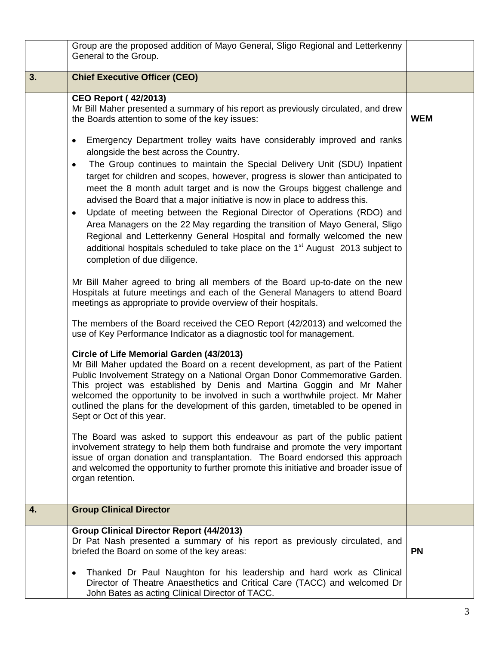|    | Group are the proposed addition of Mayo General, Sligo Regional and Letterkenny<br>General to the Group.                                                                                                                                                                                                                                                                                                                                                                                                                                                                                                                                                                                                                                                                                                                                                                                                                                                                                                                                                                                                                                                                                                                                                                                                                                                                                                                                                                                                                                                                                                                                                                                                                                                                                                                                                                                                                                                                                                                                                                                                                                                                                                                                                             |            |
|----|----------------------------------------------------------------------------------------------------------------------------------------------------------------------------------------------------------------------------------------------------------------------------------------------------------------------------------------------------------------------------------------------------------------------------------------------------------------------------------------------------------------------------------------------------------------------------------------------------------------------------------------------------------------------------------------------------------------------------------------------------------------------------------------------------------------------------------------------------------------------------------------------------------------------------------------------------------------------------------------------------------------------------------------------------------------------------------------------------------------------------------------------------------------------------------------------------------------------------------------------------------------------------------------------------------------------------------------------------------------------------------------------------------------------------------------------------------------------------------------------------------------------------------------------------------------------------------------------------------------------------------------------------------------------------------------------------------------------------------------------------------------------------------------------------------------------------------------------------------------------------------------------------------------------------------------------------------------------------------------------------------------------------------------------------------------------------------------------------------------------------------------------------------------------------------------------------------------------------------------------------------------------|------------|
| 3. | <b>Chief Executive Officer (CEO)</b>                                                                                                                                                                                                                                                                                                                                                                                                                                                                                                                                                                                                                                                                                                                                                                                                                                                                                                                                                                                                                                                                                                                                                                                                                                                                                                                                                                                                                                                                                                                                                                                                                                                                                                                                                                                                                                                                                                                                                                                                                                                                                                                                                                                                                                 |            |
|    | <b>CEO Report (42/2013)</b><br>Mr Bill Maher presented a summary of his report as previously circulated, and drew<br>the Boards attention to some of the key issues:<br>Emergency Department trolley waits have considerably improved and ranks<br>$\bullet$<br>alongside the best across the Country.<br>The Group continues to maintain the Special Delivery Unit (SDU) Inpatient<br>٠<br>target for children and scopes, however, progress is slower than anticipated to<br>meet the 8 month adult target and is now the Groups biggest challenge and<br>advised the Board that a major initiative is now in place to address this.<br>Update of meeting between the Regional Director of Operations (RDO) and<br>٠<br>Area Managers on the 22 May regarding the transition of Mayo General, Sligo<br>Regional and Letterkenny General Hospital and formally welcomed the new<br>additional hospitals scheduled to take place on the 1 <sup>st</sup> August 2013 subject to<br>completion of due diligence.<br>Mr Bill Maher agreed to bring all members of the Board up-to-date on the new<br>Hospitals at future meetings and each of the General Managers to attend Board<br>meetings as appropriate to provide overview of their hospitals.<br>The members of the Board received the CEO Report (42/2013) and welcomed the<br>use of Key Performance Indicator as a diagnostic tool for management.<br>Circle of Life Memorial Garden (43/2013)<br>Mr Bill Maher updated the Board on a recent development, as part of the Patient<br>Public Involvement Strategy on a National Organ Donor Commemorative Garden.<br>This project was established by Denis and Martina Goggin and Mr Maher<br>welcomed the opportunity to be involved in such a worthwhile project. Mr Maher<br>outlined the plans for the development of this garden, timetabled to be opened in<br>Sept or Oct of this year.<br>The Board was asked to support this endeavour as part of the public patient<br>involvement strategy to help them both fundraise and promote the very important<br>issue of organ donation and transplantation. The Board endorsed this approach<br>and welcomed the opportunity to further promote this initiative and broader issue of<br>organ retention. | <b>WEM</b> |
| 4. | <b>Group Clinical Director</b>                                                                                                                                                                                                                                                                                                                                                                                                                                                                                                                                                                                                                                                                                                                                                                                                                                                                                                                                                                                                                                                                                                                                                                                                                                                                                                                                                                                                                                                                                                                                                                                                                                                                                                                                                                                                                                                                                                                                                                                                                                                                                                                                                                                                                                       |            |
|    | <b>Group Clinical Director Report (44/2013)</b><br>Dr Pat Nash presented a summary of his report as previously circulated, and<br>briefed the Board on some of the key areas:<br>Thanked Dr Paul Naughton for his leadership and hard work as Clinical<br>٠<br>Director of Theatre Anaesthetics and Critical Care (TACC) and welcomed Dr<br>John Bates as acting Clinical Director of TACC.                                                                                                                                                                                                                                                                                                                                                                                                                                                                                                                                                                                                                                                                                                                                                                                                                                                                                                                                                                                                                                                                                                                                                                                                                                                                                                                                                                                                                                                                                                                                                                                                                                                                                                                                                                                                                                                                          | <b>PN</b>  |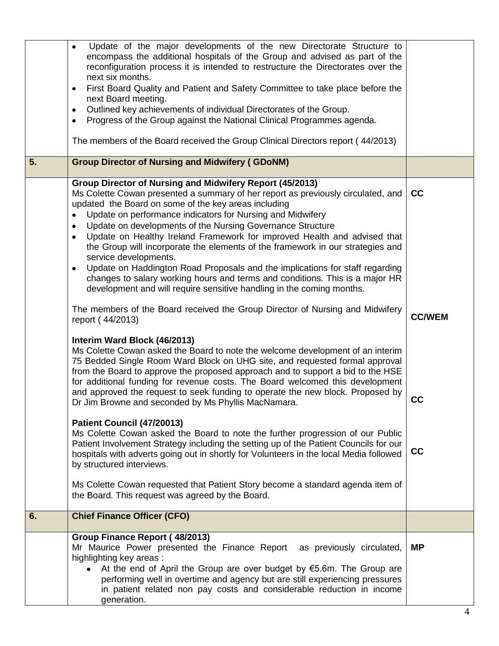|    | Update of the major developments of the new Directorate Structure to<br>$\bullet$<br>encompass the additional hospitals of the Group and advised as part of the<br>reconfiguration process it is intended to restructure the Directorates over the<br>next six months.<br>First Board Quality and Patient and Safety Committee to take place before the<br>$\bullet$<br>next Board meeting.<br>Outlined key achievements of individual Directorates of the Group.<br>$\bullet$<br>Progress of the Group against the National Clinical Programmes agenda.<br>٠<br>The members of the Board received the Group Clinical Directors report (44/2013)                                                                                                                                                                     |               |
|----|----------------------------------------------------------------------------------------------------------------------------------------------------------------------------------------------------------------------------------------------------------------------------------------------------------------------------------------------------------------------------------------------------------------------------------------------------------------------------------------------------------------------------------------------------------------------------------------------------------------------------------------------------------------------------------------------------------------------------------------------------------------------------------------------------------------------|---------------|
| 5. | <b>Group Director of Nursing and Midwifery (GDoNM)</b>                                                                                                                                                                                                                                                                                                                                                                                                                                                                                                                                                                                                                                                                                                                                                               |               |
|    |                                                                                                                                                                                                                                                                                                                                                                                                                                                                                                                                                                                                                                                                                                                                                                                                                      |               |
|    | Group Director of Nursing and Midwifery Report (45/2013)<br>Ms Colette Cowan presented a summary of her report as previously circulated, and<br>updated the Board on some of the key areas including<br>Update on performance indicators for Nursing and Midwifery<br>$\bullet$<br>Update on developments of the Nursing Governance Structure<br>$\bullet$<br>Update on Healthy Ireland Framework for improved Health and advised that<br>$\bullet$<br>the Group will incorporate the elements of the framework in our strategies and<br>service developments.<br>Update on Haddington Road Proposals and the implications for staff regarding<br>$\bullet$<br>changes to salary working hours and terms and conditions. This is a major HR<br>development and will require sensitive handling in the coming months. | cc            |
|    | The members of the Board received the Group Director of Nursing and Midwifery<br>report (44/2013)                                                                                                                                                                                                                                                                                                                                                                                                                                                                                                                                                                                                                                                                                                                    | <b>CC/WEM</b> |
|    | Interim Ward Block (46/2013)<br>Ms Colette Cowan asked the Board to note the welcome development of an interim<br>75 Bedded Single Room Ward Block on UHG site, and requested formal approval<br>from the Board to approve the proposed approach and to support a bid to the HSE<br>for additional funding for revenue costs. The Board welcomed this development<br>and approved the request to seek funding to operate the new block. Proposed by<br>Dr Jim Browne and seconded by Ms Phyllis MacNamara.                                                                                                                                                                                                                                                                                                           | cc            |
|    | Patient Council (47/20013)<br>Ms Colette Cowan asked the Board to note the further progression of our Public<br>Patient Involvement Strategy including the setting up of the Patient Councils for our<br>hospitals with adverts going out in shortly for Volunteers in the local Media followed<br>by structured interviews.                                                                                                                                                                                                                                                                                                                                                                                                                                                                                         | cc            |
|    | Ms Colette Cowan requested that Patient Story become a standard agenda item of<br>the Board. This request was agreed by the Board.                                                                                                                                                                                                                                                                                                                                                                                                                                                                                                                                                                                                                                                                                   |               |
| 6. | <b>Chief Finance Officer (CFO)</b>                                                                                                                                                                                                                                                                                                                                                                                                                                                                                                                                                                                                                                                                                                                                                                                   |               |
|    | Group Finance Report (48/2013)<br>Mr Maurice Power presented the Finance Report<br>as previously circulated,<br>highlighting key areas:<br>At the end of April the Group are over budget by $€5.6m$ . The Group are<br>performing well in overtime and agency but are still experiencing pressures<br>in patient related non pay costs and considerable reduction in income<br>generation.                                                                                                                                                                                                                                                                                                                                                                                                                           | <b>MP</b>     |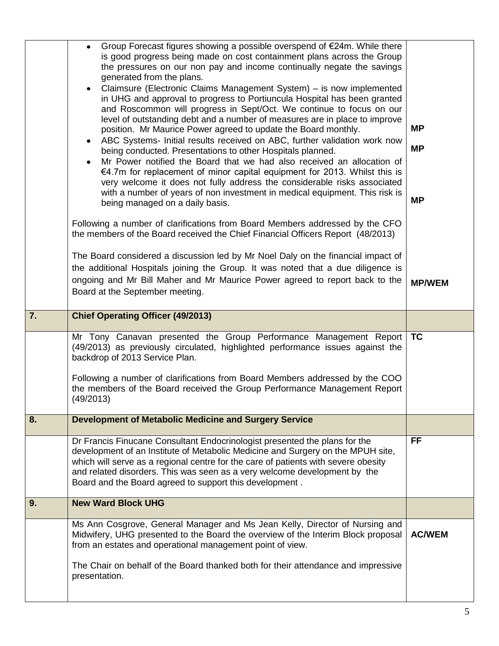|    | from an estates and operational management point of view.<br>The Chair on behalf of the Board thanked both for their attendance and impressive<br>presentation.                                                                                                                                                                                                                                                                                                                                                                                                                                                                                                                                                                                                                                                                                                                                                                                                                                                                                                                                                                                                                           |                                     |
|----|-------------------------------------------------------------------------------------------------------------------------------------------------------------------------------------------------------------------------------------------------------------------------------------------------------------------------------------------------------------------------------------------------------------------------------------------------------------------------------------------------------------------------------------------------------------------------------------------------------------------------------------------------------------------------------------------------------------------------------------------------------------------------------------------------------------------------------------------------------------------------------------------------------------------------------------------------------------------------------------------------------------------------------------------------------------------------------------------------------------------------------------------------------------------------------------------|-------------------------------------|
|    | Ms Ann Cosgrove, General Manager and Ms Jean Kelly, Director of Nursing and<br>Midwifery, UHG presented to the Board the overview of the Interim Block proposal                                                                                                                                                                                                                                                                                                                                                                                                                                                                                                                                                                                                                                                                                                                                                                                                                                                                                                                                                                                                                           | <b>AC/WEM</b>                       |
| 9. | <b>New Ward Block UHG</b>                                                                                                                                                                                                                                                                                                                                                                                                                                                                                                                                                                                                                                                                                                                                                                                                                                                                                                                                                                                                                                                                                                                                                                 |                                     |
|    | Dr Francis Finucane Consultant Endocrinologist presented the plans for the<br>development of an Institute of Metabolic Medicine and Surgery on the MPUH site,<br>which will serve as a regional centre for the care of patients with severe obesity<br>and related disorders. This was seen as a very welcome development by the<br>Board and the Board agreed to support this development.                                                                                                                                                                                                                                                                                                                                                                                                                                                                                                                                                                                                                                                                                                                                                                                               | <b>FF</b>                           |
| 8. | <b>Development of Metabolic Medicine and Surgery Service</b>                                                                                                                                                                                                                                                                                                                                                                                                                                                                                                                                                                                                                                                                                                                                                                                                                                                                                                                                                                                                                                                                                                                              |                                     |
|    | Mr Tony Canavan presented the Group Performance Management Report<br>(49/2013) as previously circulated, highlighted performance issues against the<br>backdrop of 2013 Service Plan.<br>Following a number of clarifications from Board Members addressed by the COO<br>the members of the Board received the Group Performance Management Report<br>(49/2013)                                                                                                                                                                                                                                                                                                                                                                                                                                                                                                                                                                                                                                                                                                                                                                                                                           | <b>TC</b>                           |
| 7. | <b>Chief Operating Officer (49/2013)</b>                                                                                                                                                                                                                                                                                                                                                                                                                                                                                                                                                                                                                                                                                                                                                                                                                                                                                                                                                                                                                                                                                                                                                  |                                     |
|    | Following a number of clarifications from Board Members addressed by the CFO<br>the members of the Board received the Chief Financial Officers Report (48/2013)<br>The Board considered a discussion led by Mr Noel Daly on the financial impact of<br>the additional Hospitals joining the Group. It was noted that a due diligence is<br>ongoing and Mr Bill Maher and Mr Maurice Power agreed to report back to the<br>Board at the September meeting.                                                                                                                                                                                                                                                                                                                                                                                                                                                                                                                                                                                                                                                                                                                                 | <b>MP/WEM</b>                       |
|    | Group Forecast figures showing a possible overspend of €24m. While there<br>$\bullet$<br>is good progress being made on cost containment plans across the Group<br>the pressures on our non pay and income continually negate the savings<br>generated from the plans.<br>Claimsure (Electronic Claims Management System) – is now implemented<br>$\bullet$<br>in UHG and approval to progress to Portiuncula Hospital has been granted<br>and Roscommon will progress in Sept/Oct. We continue to focus on our<br>level of outstanding debt and a number of measures are in place to improve<br>position. Mr Maurice Power agreed to update the Board monthly.<br>ABC Systems- Initial results received on ABC, further validation work now<br>$\bullet$<br>being conducted. Presentations to other Hospitals planned.<br>Mr Power notified the Board that we had also received an allocation of<br>$\bullet$<br>€4.7m for replacement of minor capital equipment for 2013. Whilst this is<br>very welcome it does not fully address the considerable risks associated<br>with a number of years of non investment in medical equipment. This risk is<br>being managed on a daily basis. | <b>MP</b><br><b>MP</b><br><b>MP</b> |